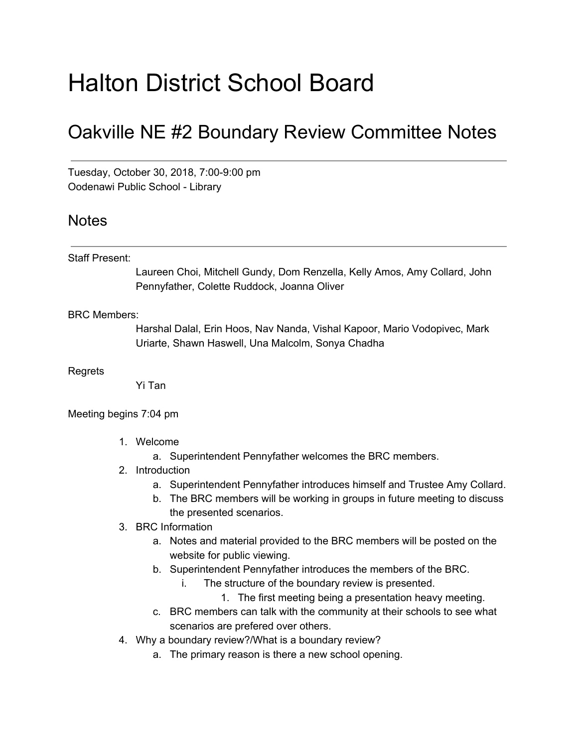# Halton District School Board

# Oakville NE #2 Boundary Review Committee Notes

Tuesday, October 30, 2018, 7:00-9:00 pm Oodenawi Public School - Library

## Notes

#### Staff Present:

Laureen Choi, Mitchell Gundy, Dom Renzella, Kelly Amos, Amy Collard, John Pennyfather, Colette Ruddock, Joanna Oliver

### BRC Members:

Harshal Dalal, Erin Hoos, Nav Nanda, Vishal Kapoor, Mario Vodopivec, Mark Uriarte, Shawn Haswell, Una Malcolm, Sonya Chadha

Regrets

Yi Tan

Meeting begins 7:04 pm

- 1. Welcome
	- a. Superintendent Pennyfather welcomes the BRC members.
- 2. Introduction
	- a. Superintendent Pennyfather introduces himself and Trustee Amy Collard.
	- b. The BRC members will be working in groups in future meeting to discuss the presented scenarios.
- 3. BRC Information
	- a. Notes and material provided to the BRC members will be posted on the website for public viewing.
	- b. Superintendent Pennyfather introduces the members of the BRC.
		- i. The structure of the boundary review is presented.
			- 1. The first meeting being a presentation heavy meeting.
	- c. BRC members can talk with the community at their schools to see what scenarios are prefered over others.
- 4. Why a boundary review?/What is a boundary review?
	- a. The primary reason is there a new school opening.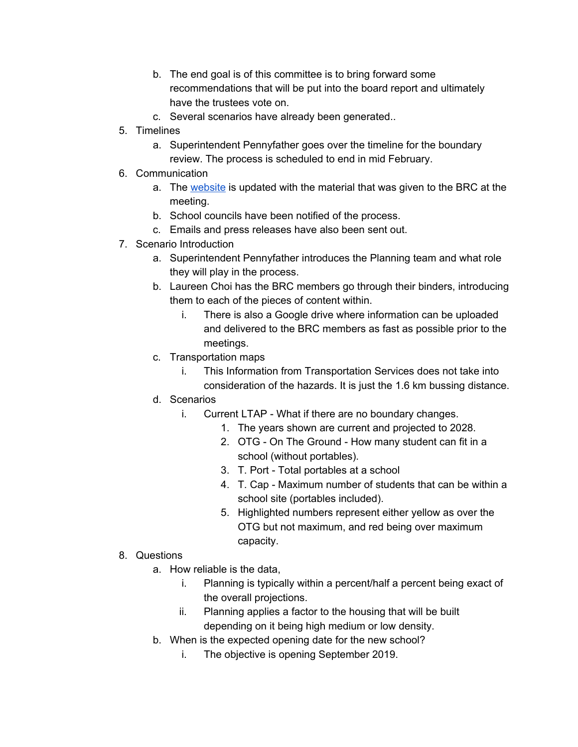- b. The end goal is of this committee is to bring forward some recommendations that will be put into the board report and ultimately have the trustees vote on.
- c. Several scenarios have already been generated..
- 5. Timelines
	- a. Superintendent Pennyfather goes over the timeline for the boundary review. The process is scheduled to end in mid February.
- 6. Communication
	- a. The [website](https://www.hdsb.ca/schools/Pages/School%20Boundary%20Reviews/2018OakvilleNE2ps.aspx) is updated with the material that was given to the BRC at the meeting.
	- b. School councils have been notified of the process.
	- c. Emails and press releases have also been sent out.
- 7. Scenario Introduction
	- a. Superintendent Pennyfather introduces the Planning team and what role they will play in the process.
	- b. Laureen Choi has the BRC members go through their binders, introducing them to each of the pieces of content within.
		- i. There is also a Google drive where information can be uploaded and delivered to the BRC members as fast as possible prior to the meetings.
	- c. Transportation maps
		- i. This Information from Transportation Services does not take into consideration of the hazards. It is just the 1.6 km bussing distance.
	- d. Scenarios
		- i. Current LTAP What if there are no boundary changes.
			- 1. The years shown are current and projected to 2028.
			- 2. OTG On The Ground How many student can fit in a school (without portables).
			- 3. T. Port Total portables at a school
			- 4. T. Cap Maximum number of students that can be within a school site (portables included).
			- 5. Highlighted numbers represent either yellow as over the OTG but not maximum, and red being over maximum capacity.
- 8. Questions
	- a. How reliable is the data,
		- i. Planning is typically within a percent/half a percent being exact of the overall projections.
		- ii. Planning applies a factor to the housing that will be built depending on it being high medium or low density.
	- b. When is the expected opening date for the new school?
		- i. The objective is opening September 2019.